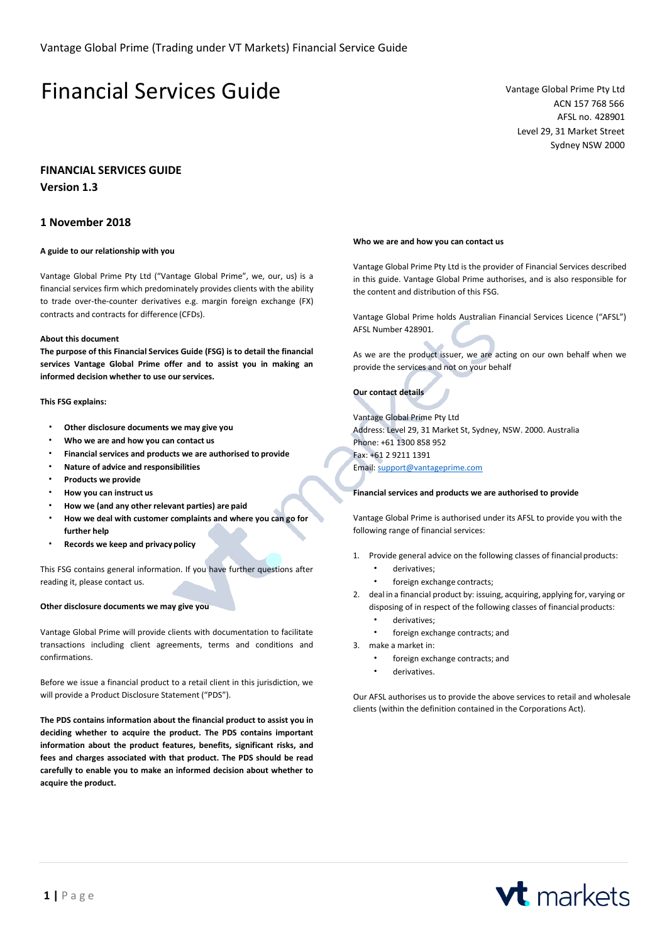# Financial Services Guide Vantage Global Prime Pty Ltd

ACN 157 768 566 AFSL no. 428901 Level 29, 31 Market Street Sydney NSW 2000

## **FINANCIAL SERVICES GUIDE**

**Version 1.3**

# **1 November 2018**

## **A guide to our relationship with you**

Vantage Global Prime Pty Ltd ("Vantage Global Prime", we, our, us) is a financial services firm which predominately provides clients with the ability to trade over-the-counter derivatives e.g. margin foreign exchange (FX) contracts and contracts for difference (CFDs).

## **About this document**

**The purpose of this Financial Services Guide (FSG) is to detail the financial services Vantage Global Prime offer and to assist you in making an informed decision whether to use ourservices.**

#### **This FSG explains:**

- **Other disclosure documents we may give you**
- **Who we are and how you can contact us**
- **Financial services and products we are authorised to provide**
- **Nature of advice and responsibilities**
- **Products we provide**
- **How you can instruct us**
- **How we (and any other relevant parties) are paid**
- **How we deal with customer complaints and where you can go for further help**
- **Records we keep and privacy policy**

This FSG contains general information. If you have further questions after reading it, please contact us.

#### **Other disclosure documents we may give you**

Vantage Global Prime will provide clients with documentation to facilitate transactions including client agreements, terms and conditions and confirmations.

Before we issue a financial product to a retail client in this jurisdiction, we will provide a Product Disclosure Statement ("PDS").

**The PDS contains information about the financial product to assist you in deciding whether to acquire the product. The PDS contains important information about the product features, benefits, significant risks, and fees and charges associated with that product. The PDS should be read carefully to enable you to make an informed decision about whether to acquire the product.**

#### **Who we are and how you can contact us**

Vantage Global Prime Pty Ltd is the provider of Financial Services described in this guide. Vantage Global Prime authorises, and is also responsible for the content and distribution of this FSG.

Vantage Global Prime holds Australian Financial Services Licence ("AFSL") AFSL Number 428901.

As we are the product issuer, we are acting on our own behalf when we provide the services and not on your behalf

**Our contact details**

Vantage Global Prime Pty Ltd Address: Level 29, 31 Market St, Sydney, NSW. 2000. Australia Phone: +61 1300 858 952 Fax: +61 2 9211 1391 Email[: support@vantageprime.com](mailto:support@vantageprime.com)

#### **Financial services and products we are authorised to provide**

Vantage Global Prime is authorised under its AFSL to provide you with the following range of financial services:

- 1. Provide general advice on the following classes of financial products:
	- derivatives;
	- foreign exchange contracts:
- 2. deal in a financial product by: issuing, acquiring, applying for, varying or disposing of in respect of the following classes of financial products:
	- derivatives;
	- foreign exchange contracts; and
- 3. make a market in:
	- foreign exchange contracts; and
	- derivatives.

Our AFSL authorises us to provide the above services to retail and wholesale clients (within the definition contained in the Corporations Act).

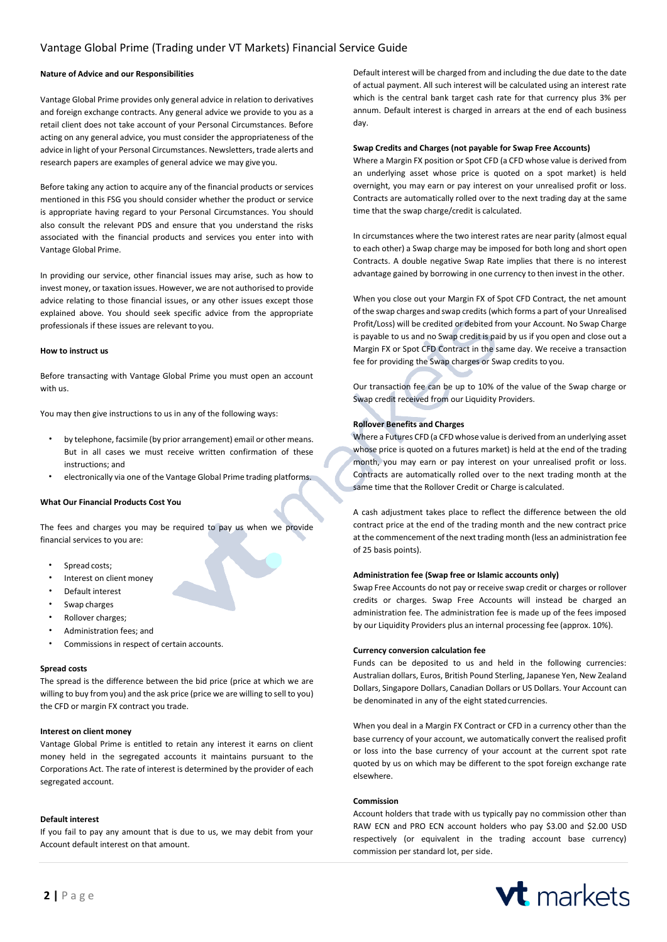## **Nature of Advice and our Responsibilities**

Vantage Global Prime provides only general advice in relation to derivatives and foreign exchange contracts. Any general advice we provide to you as a retail client does not take account of your Personal Circumstances. Before acting on any general advice, you must consider the appropriateness of the advice in light of your Personal Circumstances. Newsletters, trade alerts and research papers are examples of general advice we may give you.

Before taking any action to acquire any of the financial products or services mentioned in this FSG you should consider whether the product or service is appropriate having regard to your Personal Circumstances. You should also consult the relevant PDS and ensure that you understand the risks associated with the financial products and services you enter into with Vantage Global Prime.

In providing our service, other financial issues may arise, such as how to invest money, or taxation issues. However, we are not authorised to provide advice relating to those financial issues, or any other issues except those explained above. You should seek specific advice from the appropriate professionals if these issues are relevant to you.

#### **How to instruct us**

Before transacting with Vantage Global Prime you must open an account with us.

You may then give instructions to us in any of the following ways:

- by telephone, facsimile (by prior arrangement) email or other means. But in all cases we must receive written confirmation of these instructions; and
- electronically via one of the Vantage Global Prime trading platforms.

### **What Our Financial Products Cost You**

The fees and charges you may be required to pay us when we provide financial services to you are:

- Spread costs;
- Interest on client money
- Default interest
- Swap charges
- Rollover charges;
- Administration fees; and
- Commissions in respect of certain accounts.

#### **Spread costs**

The spread is the difference between the bid price (price at which we are willing to buy from you) and the ask price (price we are willing to sell to you) the CFD or margin FX contract you trade.

## **Interest on client money**

Vantage Global Prime is entitled to retain any interest it earns on client money held in the segregated accounts it maintains pursuant to the Corporations Act. The rate of interest is determined by the provider of each segregated account.

#### **Default interest**

If you fail to pay any amount that is due to us, we may debit from your Account default interest on that amount.

Default interest will be charged from and including the due date to the date of actual payment. All such interest will be calculated using an interest rate which is the central bank target cash rate for that currency plus 3% per annum. Default interest is charged in arrears at the end of each business day.

#### **Swap Credits and Charges (not payable for Swap Free Accounts)**

Where a Margin FX position or Spot CFD (a CFD whose value is derived from an underlying asset whose price is quoted on a spot market) is held overnight, you may earn or pay interest on your unrealised profit or loss. Contracts are automatically rolled over to the next trading day at the same time that the swap charge/credit is calculated.

In circumstances where the two interest rates are near parity (almost equal to each other) a Swap charge may be imposed for both long and short open Contracts. A double negative Swap Rate implies that there is no interest advantage gained by borrowing in one currency to then invest in the other.

When you close out your Margin FX of Spot CFD Contract, the net amount of the swap charges and swap credits(which forms a part of your Unrealised Profit/Loss) will be credited or debited from your Account. No Swap Charge is payable to us and no Swap credit is paid by us if you open and close out a Margin FX or Spot CFD Contract in the same day. We receive a transaction fee for providing the Swap charges or Swap credits to you.

Our transaction fee can be up to 10% of the value of the Swap charge or Swap credit received from our Liquidity Providers.

#### **Rollover Benefits and Charges**

Where a Futures CFD (a CFD whose value is derived froman underlying asset whose price is quoted on a futures market) is held at the end of the trading month, you may earn or pay interest on your unrealised profit or loss. Contracts are automatically rolled over to the next trading month at the same time that the Rollover Credit or Charge is calculated.

A cash adjustment takes place to reflect the difference between the old contract price at the end of the trading month and the new contract price at the commencement of the next trading month (less an administration fee of 25 basis points).

#### **Administration fee (Swap free or Islamic accounts only)**

Swap Free Accounts do not pay or receive swap credit or charges or rollover credits or charges. Swap Free Accounts will instead be charged an administration fee. The administration fee is made up of the fees imposed by our Liquidity Providers plus an internal processing fee (approx. 10%).

## **Currency conversion calculation fee**

Funds can be deposited to us and held in the following currencies: Australian dollars, Euros, British Pound Sterling, Japanese Yen, New Zealand Dollars, Singapore Dollars, Canadian Dollars or US Dollars. Your Account can be denominated in any of the eight stated currencies.

When you deal in a Margin FX Contract or CFD in a currency other than the base currency of your account, we automatically convert the realised profit or loss into the base currency of your account at the current spot rate quoted by us on which may be different to the spot foreign exchange rate elsewhere.

#### **Commission**

Account holders that trade with us typically pay no commission other than RAW ECN and PRO ECN account holders who pay \$3.00 and \$2.00 USD respectively (or equivalent in the trading account base currency) commission per standard lot, per side.